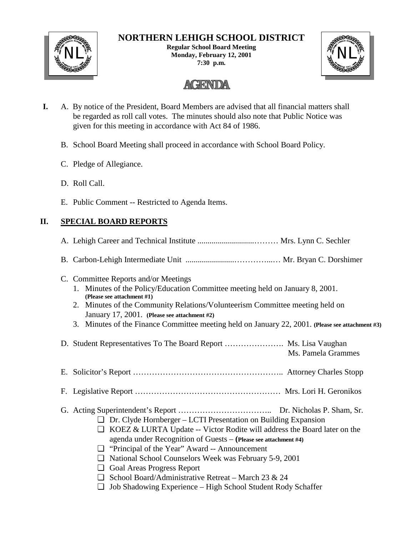

# **NORTHERN LEHIGH SCHOOL DISTRICT**

**Regular School Board Meeting** NL<sup>W</sup><br>Monday, February 12, 2001<br>
Monday, February 12, 2001 **7:30 p.m.**



# **AGENDA**

- **I.** A. By notice of the President, Board Members are advised that all financial matters shall be regarded as roll call votes. The minutes should also note that Public Notice was given for this meeting in accordance with Act 84 of 1986.
	- B. School Board Meeting shall proceed in accordance with School Board Policy.
	- C. Pledge of Allegiance.
	- D. Roll Call.
	- E. Public Comment -- Restricted to Agenda Items.

# **II. SPECIAL BOARD REPORTS**

| C. Committee Reports and/or Meetings<br>1. Minutes of the Policy/Education Committee meeting held on January 8, 2001.<br>(Please see attachment #1)<br>2. Minutes of the Community Relations/Volunteerism Committee meeting held on<br>January 17, 2001. (Please see attachment #2)<br>3. Minutes of the Finance Committee meeting held on January 22, 2001. (Please see attachment #3)                                                                                                                               |
|-----------------------------------------------------------------------------------------------------------------------------------------------------------------------------------------------------------------------------------------------------------------------------------------------------------------------------------------------------------------------------------------------------------------------------------------------------------------------------------------------------------------------|
| D. Student Representatives To The Board Report  Ms. Lisa Vaughan<br>Ms. Pamela Grammes                                                                                                                                                                                                                                                                                                                                                                                                                                |
|                                                                                                                                                                                                                                                                                                                                                                                                                                                                                                                       |
|                                                                                                                                                                                                                                                                                                                                                                                                                                                                                                                       |
| $\Box$ Dr. Clyde Hornberger – LCTI Presentation on Building Expansion<br>$\Box$ KOEZ & LURTA Update -- Victor Rodite will address the Board later on the<br>agenda under Recognition of Guests - (Please see attachment #4)<br>$\Box$ "Principal of the Year" Award -- Announcement<br>I National School Counselors Week was February 5-9, 2001<br>Goal Areas Progress Report<br>$\Box$ School Board/Administrative Retreat – March 23 & 24<br>Job Shadowing Experience – High School Student Rody Schaffer<br>$\Box$ |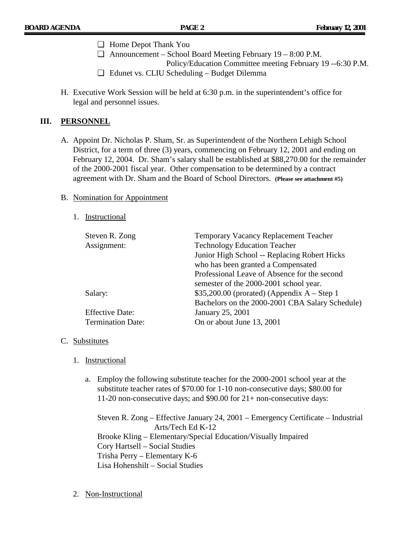- ❏ Home Depot Thank You
- ❏ Announcement School Board Meeting February 19 8:00 P.M. Policy/Education Committee meeting February 19 --6:30 P.M.
- ❏ Edunet vs. CLIU Scheduling Budget Dilemma
- H. Executive Work Session will be held at 6:30 p.m. in the superintendent's office for legal and personnel issues.

#### **III. PERSONNEL**

A. Appoint Dr. Nicholas P. Sham, Sr. as Superintendent of the Northern Lehigh School District, for a term of three (3) years, commencing on February 12, 2001 and ending on February 12, 2004. Dr. Sham's salary shall be established at \$88,270.00 for the remainder of the 2000-2001 fiscal year. Other compensation to be determined by a contract agreement with Dr. Sham and the Board of School Directors. **(Please see attachment #5)**

#### B. Nomination for Appointment

#### 1. Instructional

| Steven R. Zong<br>Assignment: | <b>Temporary Vacancy Replacement Teacher</b><br><b>Technology Education Teacher</b> |
|-------------------------------|-------------------------------------------------------------------------------------|
|                               | Junior High School -- Replacing Robert Hicks                                        |
|                               | who has been granted a Compensated                                                  |
|                               | Professional Leave of Absence for the second                                        |
|                               | semester of the 2000-2001 school year.                                              |
| Salary:                       | $$35,200.00$ (prorated) (Appendix A – Step 1                                        |
|                               | Bachelors on the 2000-2001 CBA Salary Schedule)                                     |
| <b>Effective Date:</b>        | January 25, 2001                                                                    |
| <b>Termination Date:</b>      | On or about June 13, 2001                                                           |

#### C. Substitutes

- 1. Instructional
	- a. Employ the following substitute teacher for the 2000-2001 school year at the substitute teacher rates of \$70.00 for 1-10 non-consecutive days; \$80.00 for 11-20 non-consecutive days; and \$90.00 for 21+ non-consecutive days:

Steven R. Zong – Effective January 24, 2001 – Emergency Certificate – Industrial Arts/Tech Ed K-12 Brooke Kling – Elementary/Special Education/Visually Impaired Cory Hartsell – Social Studies Trisha Perry – Elementary K-6 Lisa Hohenshilt – Social Studies

2. Non-Instructional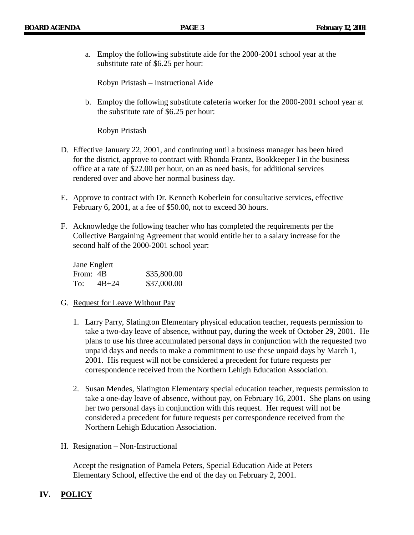a. Employ the following substitute aide for the 2000-2001 school year at the substitute rate of \$6.25 per hour:

Robyn Pristash – Instructional Aide

b. Employ the following substitute cafeteria worker for the 2000-2001 school year at the substitute rate of \$6.25 per hour:

Robyn Pristash

- D. Effective January 22, 2001, and continuing until a business manager has been hired for the district, approve to contract with Rhonda Frantz, Bookkeeper I in the business office at a rate of \$22.00 per hour, on an as need basis, for additional services rendered over and above her normal business day.
- E. Approve to contract with Dr. Kenneth Koberlein for consultative services, effective February 6, 2001, at a fee of \$50.00, not to exceed 30 hours.
- F. Acknowledge the following teacher who has completed the requirements per the Collective Bargaining Agreement that would entitle her to a salary increase for the second half of the 2000-2001 school year:

| Jane Englert |           |             |
|--------------|-----------|-------------|
| From: 4B     |           | \$35,800.00 |
| To:          | $4B + 24$ | \$37,000.00 |

- G. Request for Leave Without Pay
	- 1. Larry Parry, Slatington Elementary physical education teacher, requests permission to take a two-day leave of absence, without pay, during the week of October 29, 2001. He plans to use his three accumulated personal days in conjunction with the requested two unpaid days and needs to make a commitment to use these unpaid days by March 1, 2001. His request will not be considered a precedent for future requests per correspondence received from the Northern Lehigh Education Association.
	- 2. Susan Mendes, Slatington Elementary special education teacher, requests permission to take a one-day leave of absence, without pay, on February 16, 2001. She plans on using her two personal days in conjunction with this request. Her request will not be considered a precedent for future requests per correspondence received from the Northern Lehigh Education Association.
- H. Resignation Non-Instructional

Accept the resignation of Pamela Peters, Special Education Aide at Peters Elementary School, effective the end of the day on February 2, 2001.

## **IV. POLICY**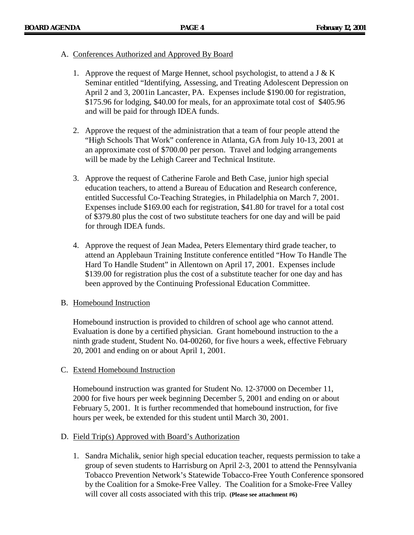#### A. Conferences Authorized and Approved By Board

- 1. Approve the request of Marge Hennet, school psychologist, to attend a J  $&$  K Seminar entitled "Identifying, Assessing, and Treating Adolescent Depression on April 2 and 3, 2001in Lancaster, PA. Expenses include \$190.00 for registration, \$175.96 for lodging, \$40.00 for meals, for an approximate total cost of \$405.96 and will be paid for through IDEA funds.
- 2. Approve the request of the administration that a team of four people attend the "High Schools That Work" conference in Atlanta, GA from July 10-13, 2001 at an approximate cost of \$700.00 per person. Travel and lodging arrangements will be made by the Lehigh Career and Technical Institute.
- 3. Approve the request of Catherine Farole and Beth Case, junior high special education teachers, to attend a Bureau of Education and Research conference, entitled Successful Co-Teaching Strategies, in Philadelphia on March 7, 2001. Expenses include \$169.00 each for registration, \$41.80 for travel for a total cost of \$379.80 plus the cost of two substitute teachers for one day and will be paid for through IDEA funds.
- 4. Approve the request of Jean Madea, Peters Elementary third grade teacher, to attend an Applebaun Training Institute conference entitled "How To Handle The Hard To Handle Student" in Allentown on April 17, 2001. Expenses include \$139.00 for registration plus the cost of a substitute teacher for one day and has been approved by the Continuing Professional Education Committee.

#### B. Homebound Instruction

Homebound instruction is provided to children of school age who cannot attend. Evaluation is done by a certified physician. Grant homebound instruction to the a ninth grade student, Student No. 04-00260, for five hours a week, effective February 20, 2001 and ending on or about April 1, 2001.

#### C. Extend Homebound Instruction

Homebound instruction was granted for Student No. 12-37000 on December 11, 2000 for five hours per week beginning December 5, 2001 and ending on or about February 5, 2001. It is further recommended that homebound instruction, for five hours per week, be extended for this student until March 30, 2001.

#### D. Field Trip(s) Approved with Board's Authorization

1. Sandra Michalik, senior high special education teacher, requests permission to take a group of seven students to Harrisburg on April 2-3, 2001 to attend the Pennsylvania Tobacco Prevention Network's Statewide Tobacco-Free Youth Conference sponsored by the Coalition for a Smoke-Free Valley. The Coalition for a Smoke-Free Valley will cover all costs associated with this trip**. (Please see attachment #6)**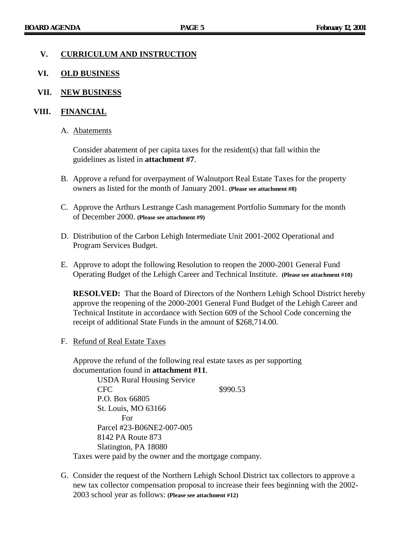#### **V. CURRICULUM AND INSTRUCTION**

#### **VI. OLD BUSINESS**

#### **VII. NEW BUSINESS**

#### **VIII. FINANCIAL**

#### A. Abatements

Consider abatement of per capita taxes for the resident(s) that fall within the guidelines as listed in **attachment #7**.

- B. Approve a refund for overpayment of Walnutport Real Estate Taxes for the property owners as listed for the month of January 2001. **(Please see attachment #8)**
- C. Approve the Arthurs Lestrange Cash management Portfolio Summary for the month of December 2000. **(Please see attachment #9)**
- D. Distribution of the Carbon Lehigh Intermediate Unit 2001-2002 Operational and Program Services Budget.
- E. Approve to adopt the following Resolution to reopen the 2000-2001 General Fund Operating Budget of the Lehigh Career and Technical Institute. **(Please see attachment #10)**

**RESOLVED:** That the Board of Directors of the Northern Lehigh School District hereby approve the reopening of the 2000-2001 General Fund Budget of the Lehigh Career and Technical Institute in accordance with Section 609 of the School Code concerning the receipt of additional State Funds in the amount of \$268,714.00.

F. Refund of Real Estate Taxes

Approve the refund of the following real estate taxes as per supporting documentation found in **attachment #11**.

USDA Rural Housing Service CFC \$990.53 P.O. Box 66805 St. Louis, MO 63166 For Parcel #23-B06NE2-007-005 8142 PA Route 873 Slatington, PA 18080

Taxes were paid by the owner and the mortgage company.

G. Consider the request of the Northern Lehigh School District tax collectors to approve a new tax collector compensation proposal to increase their fees beginning with the 2002- 2003 school year as follows: **(Please see attachment #12)**